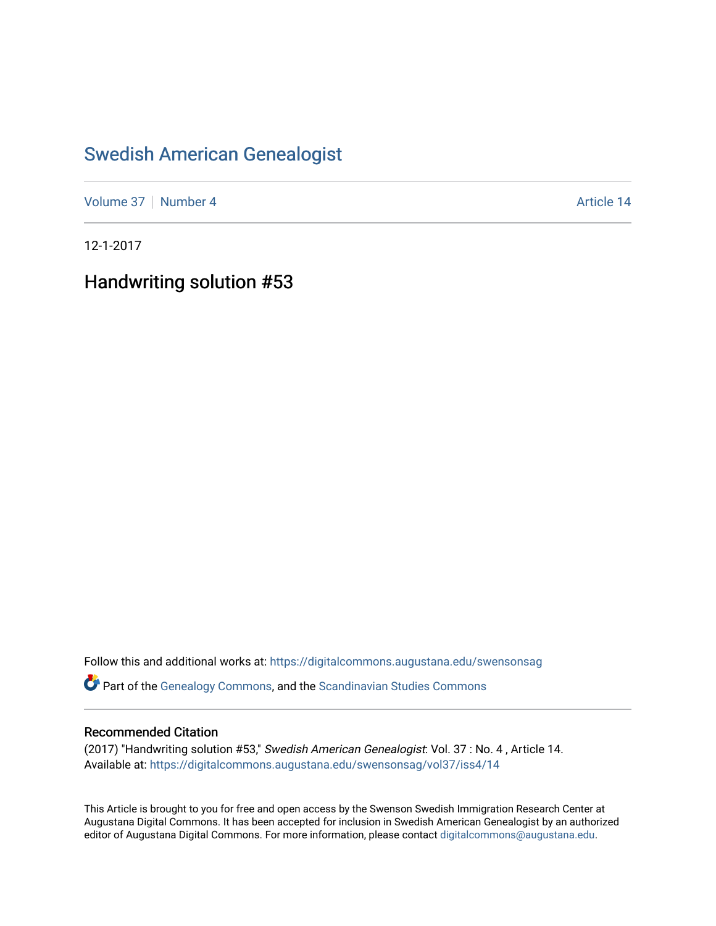### [Swedish American Genealogist](https://digitalcommons.augustana.edu/swensonsag)

[Volume 37](https://digitalcommons.augustana.edu/swensonsag/vol37) [Number 4](https://digitalcommons.augustana.edu/swensonsag/vol37/iss4) Article 14

12-1-2017

Handwriting solution #53

Follow this and additional works at: [https://digitalcommons.augustana.edu/swensonsag](https://digitalcommons.augustana.edu/swensonsag?utm_source=digitalcommons.augustana.edu%2Fswensonsag%2Fvol37%2Fiss4%2F14&utm_medium=PDF&utm_campaign=PDFCoverPages) 

Part of the [Genealogy Commons,](http://network.bepress.com/hgg/discipline/1342?utm_source=digitalcommons.augustana.edu%2Fswensonsag%2Fvol37%2Fiss4%2F14&utm_medium=PDF&utm_campaign=PDFCoverPages) and the [Scandinavian Studies Commons](http://network.bepress.com/hgg/discipline/485?utm_source=digitalcommons.augustana.edu%2Fswensonsag%2Fvol37%2Fiss4%2F14&utm_medium=PDF&utm_campaign=PDFCoverPages)

#### Recommended Citation

(2017) "Handwriting solution #53," Swedish American Genealogist: Vol. 37 : No. 4 , Article 14. Available at: [https://digitalcommons.augustana.edu/swensonsag/vol37/iss4/14](https://digitalcommons.augustana.edu/swensonsag/vol37/iss4/14?utm_source=digitalcommons.augustana.edu%2Fswensonsag%2Fvol37%2Fiss4%2F14&utm_medium=PDF&utm_campaign=PDFCoverPages) 

This Article is brought to you for free and open access by the Swenson Swedish Immigration Research Center at Augustana Digital Commons. It has been accepted for inclusion in Swedish American Genealogist by an authorized editor of Augustana Digital Commons. For more information, please contact [digitalcommons@augustana.edu.](mailto:digitalcommons@augustana.edu)